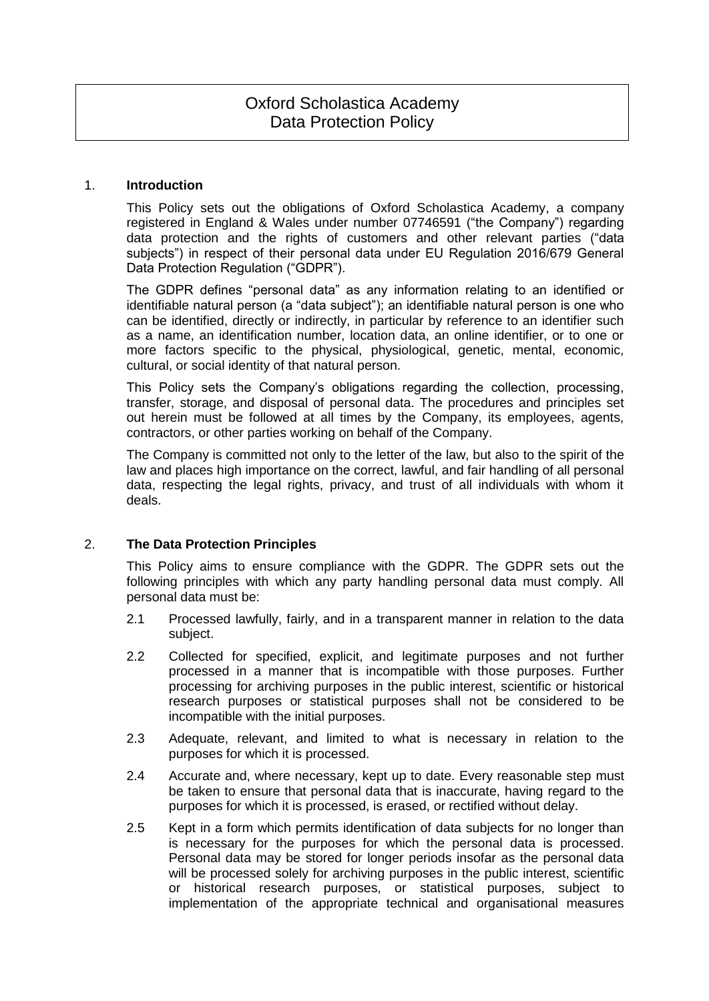## 1. **Introduction**

This Policy sets out the obligations of Oxford Scholastica Academy, a company registered in England & Wales under number 07746591 ("the Company") regarding data protection and the rights of customers and other relevant parties ("data subjects") in respect of their personal data under EU Regulation 2016/679 General Data Protection Regulation ("GDPR").

The GDPR defines "personal data" as any information relating to an identified or identifiable natural person (a "data subject"); an identifiable natural person is one who can be identified, directly or indirectly, in particular by reference to an identifier such as a name, an identification number, location data, an online identifier, or to one or more factors specific to the physical, physiological, genetic, mental, economic, cultural, or social identity of that natural person.

This Policy sets the Company's obligations regarding the collection, processing, transfer, storage, and disposal of personal data. The procedures and principles set out herein must be followed at all times by the Company, its employees, agents, contractors, or other parties working on behalf of the Company.

The Company is committed not only to the letter of the law, but also to the spirit of the law and places high importance on the correct, lawful, and fair handling of all personal data, respecting the legal rights, privacy, and trust of all individuals with whom it deals.

# 2. **The Data Protection Principles**

This Policy aims to ensure compliance with the GDPR. The GDPR sets out the following principles with which any party handling personal data must comply. All personal data must be:

- 2.1 Processed lawfully, fairly, and in a transparent manner in relation to the data subject.
- 2.2 Collected for specified, explicit, and legitimate purposes and not further processed in a manner that is incompatible with those purposes. Further processing for archiving purposes in the public interest, scientific or historical research purposes or statistical purposes shall not be considered to be incompatible with the initial purposes.
- 2.3 Adequate, relevant, and limited to what is necessary in relation to the purposes for which it is processed.
- 2.4 Accurate and, where necessary, kept up to date. Every reasonable step must be taken to ensure that personal data that is inaccurate, having regard to the purposes for which it is processed, is erased, or rectified without delay.
- 2.5 Kept in a form which permits identification of data subjects for no longer than is necessary for the purposes for which the personal data is processed. Personal data may be stored for longer periods insofar as the personal data will be processed solely for archiving purposes in the public interest, scientific or historical research purposes, or statistical purposes, subject to implementation of the appropriate technical and organisational measures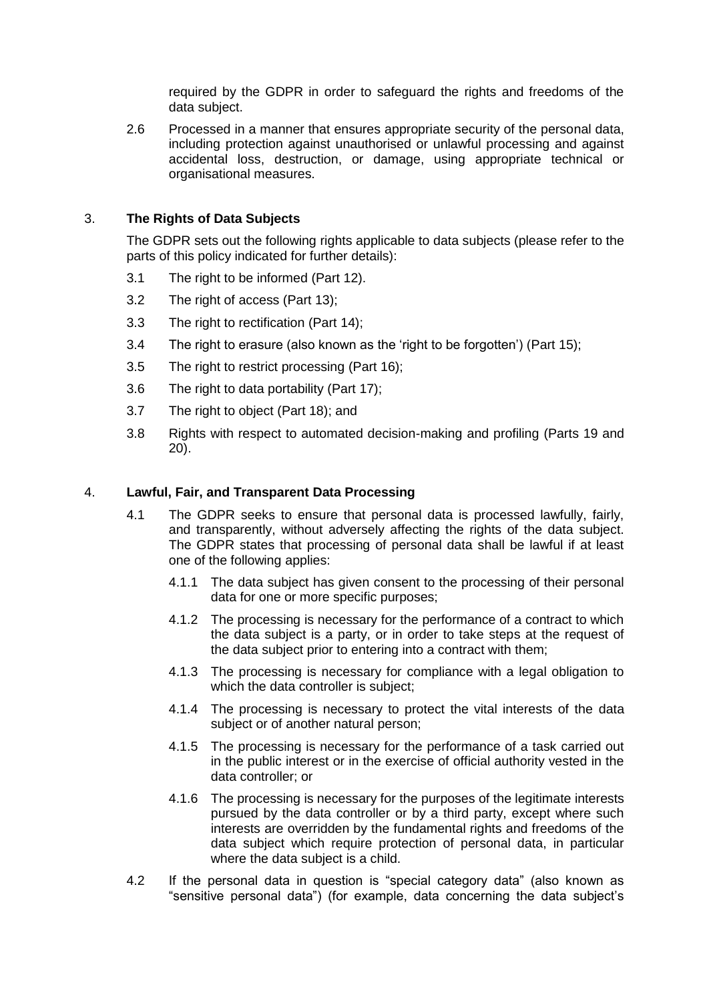required by the GDPR in order to safeguard the rights and freedoms of the data subject.

2.6 Processed in a manner that ensures appropriate security of the personal data, including protection against unauthorised or unlawful processing and against accidental loss, destruction, or damage, using appropriate technical or organisational measures.

# 3. **The Rights of Data Subjects**

The GDPR sets out the following rights applicable to data subjects (please refer to the parts of this policy indicated for further details):

- 3.1 The right to be informed (Part 12).
- 3.2 The right of access (Part 13);
- 3.3 The right to rectification (Part 14);
- 3.4 The right to erasure (also known as the 'right to be forgotten') (Part 15);
- 3.5 The right to restrict processing (Part 16);
- 3.6 The right to data portability (Part 17):
- 3.7 The right to object (Part 18); and
- 3.8 Rights with respect to automated decision-making and profiling (Parts 19 and 20).

# 4. **Lawful, Fair, and Transparent Data Processing**

- 4.1 The GDPR seeks to ensure that personal data is processed lawfully, fairly, and transparently, without adversely affecting the rights of the data subject. The GDPR states that processing of personal data shall be lawful if at least one of the following applies:
	- 4.1.1 The data subject has given consent to the processing of their personal data for one or more specific purposes;
	- 4.1.2 The processing is necessary for the performance of a contract to which the data subject is a party, or in order to take steps at the request of the data subject prior to entering into a contract with them;
	- 4.1.3 The processing is necessary for compliance with a legal obligation to which the data controller is subject;
	- 4.1.4 The processing is necessary to protect the vital interests of the data subject or of another natural person:
	- 4.1.5 The processing is necessary for the performance of a task carried out in the public interest or in the exercise of official authority vested in the data controller; or
	- 4.1.6 The processing is necessary for the purposes of the legitimate interests pursued by the data controller or by a third party, except where such interests are overridden by the fundamental rights and freedoms of the data subject which require protection of personal data, in particular where the data subject is a child.
- 4.2 If the personal data in question is "special category data" (also known as "sensitive personal data") (for example, data concerning the data subject's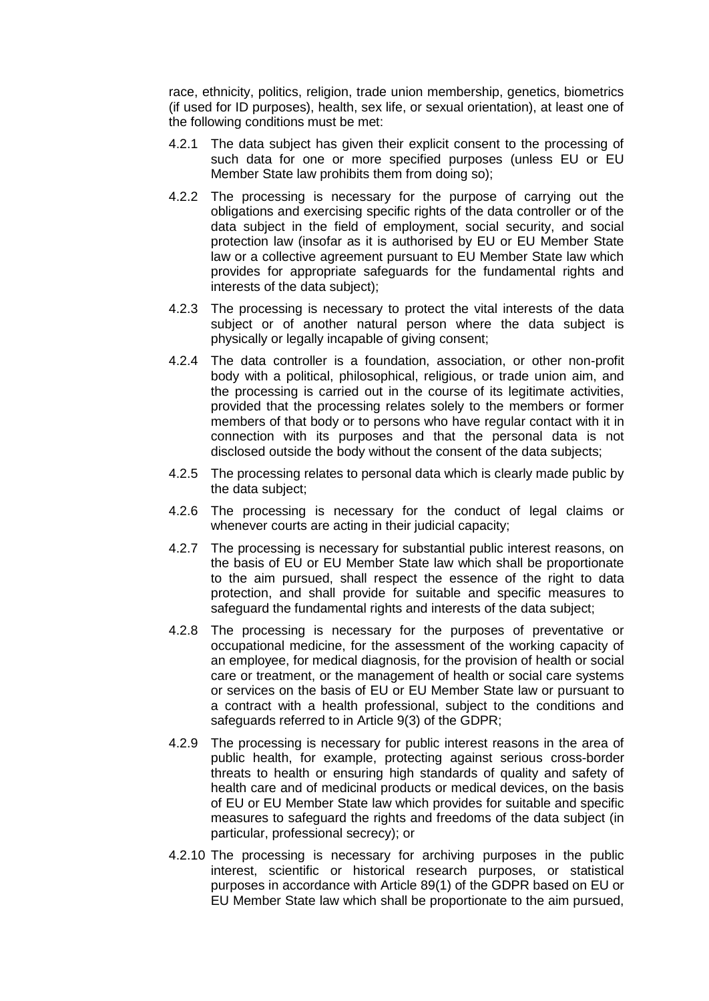race, ethnicity, politics, religion, trade union membership, genetics, biometrics (if used for ID purposes), health, sex life, or sexual orientation), at least one of the following conditions must be met:

- 4.2.1 The data subject has given their explicit consent to the processing of such data for one or more specified purposes (unless EU or EU Member State law prohibits them from doing so);
- 4.2.2 The processing is necessary for the purpose of carrying out the obligations and exercising specific rights of the data controller or of the data subject in the field of employment, social security, and social protection law (insofar as it is authorised by EU or EU Member State law or a collective agreement pursuant to EU Member State law which provides for appropriate safeguards for the fundamental rights and interests of the data subject);
- 4.2.3 The processing is necessary to protect the vital interests of the data subject or of another natural person where the data subject is physically or legally incapable of giving consent;
- 4.2.4 The data controller is a foundation, association, or other non-profit body with a political, philosophical, religious, or trade union aim, and the processing is carried out in the course of its legitimate activities, provided that the processing relates solely to the members or former members of that body or to persons who have regular contact with it in connection with its purposes and that the personal data is not disclosed outside the body without the consent of the data subjects;
- 4.2.5 The processing relates to personal data which is clearly made public by the data subject;
- 4.2.6 The processing is necessary for the conduct of legal claims or whenever courts are acting in their judicial capacity;
- 4.2.7 The processing is necessary for substantial public interest reasons, on the basis of EU or EU Member State law which shall be proportionate to the aim pursued, shall respect the essence of the right to data protection, and shall provide for suitable and specific measures to safeguard the fundamental rights and interests of the data subject;
- 4.2.8 The processing is necessary for the purposes of preventative or occupational medicine, for the assessment of the working capacity of an employee, for medical diagnosis, for the provision of health or social care or treatment, or the management of health or social care systems or services on the basis of EU or EU Member State law or pursuant to a contract with a health professional, subject to the conditions and safeguards referred to in Article 9(3) of the GDPR;
- 4.2.9 The processing is necessary for public interest reasons in the area of public health, for example, protecting against serious cross-border threats to health or ensuring high standards of quality and safety of health care and of medicinal products or medical devices, on the basis of EU or EU Member State law which provides for suitable and specific measures to safeguard the rights and freedoms of the data subject (in particular, professional secrecy); or
- 4.2.10 The processing is necessary for archiving purposes in the public interest, scientific or historical research purposes, or statistical purposes in accordance with Article 89(1) of the GDPR based on EU or EU Member State law which shall be proportionate to the aim pursued,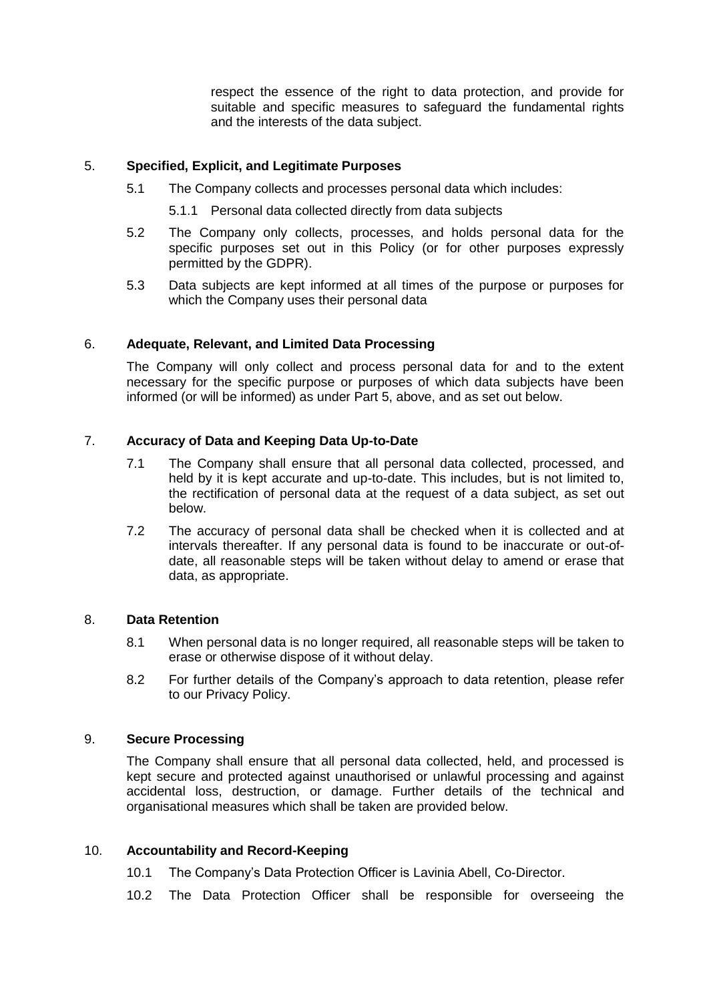respect the essence of the right to data protection, and provide for suitable and specific measures to safeguard the fundamental rights and the interests of the data subject.

# 5. **Specified, Explicit, and Legitimate Purposes**

- 5.1 The Company collects and processes personal data which includes:
	- 5.1.1 Personal data collected directly from data subjects
- 5.2 The Company only collects, processes, and holds personal data for the specific purposes set out in this Policy (or for other purposes expressly permitted by the GDPR).
- 5.3 Data subjects are kept informed at all times of the purpose or purposes for which the Company uses their personal data

# 6. **Adequate, Relevant, and Limited Data Processing**

The Company will only collect and process personal data for and to the extent necessary for the specific purpose or purposes of which data subjects have been informed (or will be informed) as under Part 5, above, and as set out below.

# 7. **Accuracy of Data and Keeping Data Up-to-Date**

- 7.1 The Company shall ensure that all personal data collected, processed, and held by it is kept accurate and up-to-date. This includes, but is not limited to, the rectification of personal data at the request of a data subject, as set out below.
- 7.2 The accuracy of personal data shall be checked when it is collected and at intervals thereafter. If any personal data is found to be inaccurate or out-ofdate, all reasonable steps will be taken without delay to amend or erase that data, as appropriate.

# 8. **Data Retention**

- 8.1 When personal data is no longer required, all reasonable steps will be taken to erase or otherwise dispose of it without delay.
- 8.2 For further details of the Company's approach to data retention, please refer to our Privacy Policy.

# 9. **Secure Processing**

The Company shall ensure that all personal data collected, held, and processed is kept secure and protected against unauthorised or unlawful processing and against accidental loss, destruction, or damage. Further details of the technical and organisational measures which shall be taken are provided below.

# 10. **Accountability and Record-Keeping**

- 10.1 The Company's Data Protection Officer is Lavinia Abell, Co-Director.
- 10.2 The Data Protection Officer shall be responsible for overseeing the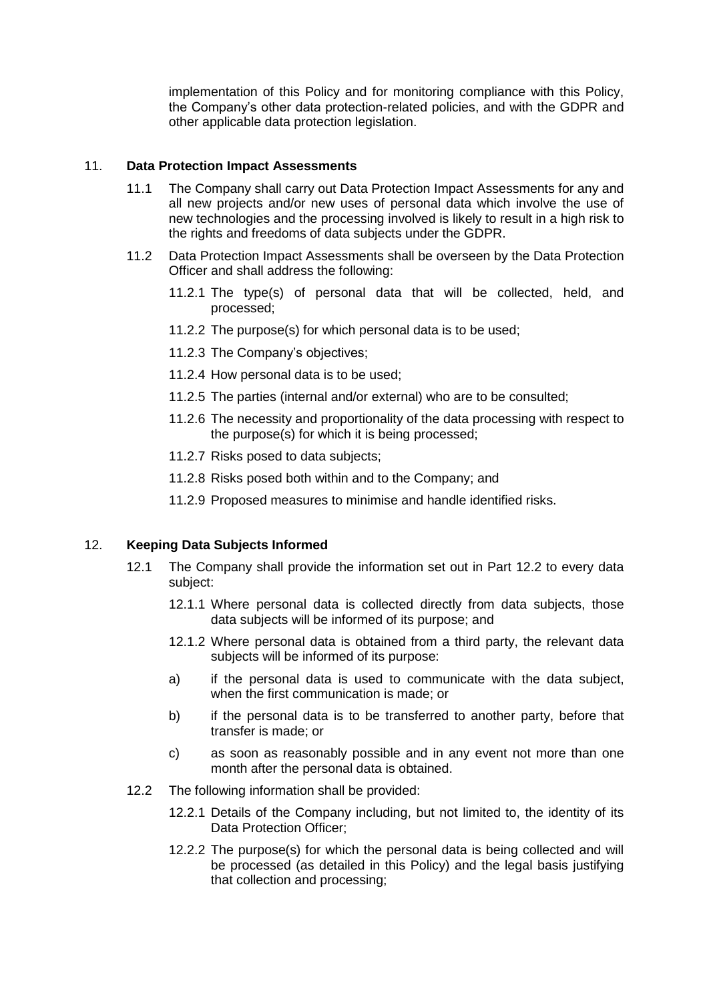implementation of this Policy and for monitoring compliance with this Policy, the Company's other data protection-related policies, and with the GDPR and other applicable data protection legislation.

### 11. **Data Protection Impact Assessments**

- 11.1 The Company shall carry out Data Protection Impact Assessments for any and all new projects and/or new uses of personal data which involve the use of new technologies and the processing involved is likely to result in a high risk to the rights and freedoms of data subjects under the GDPR.
- 11.2 Data Protection Impact Assessments shall be overseen by the Data Protection Officer and shall address the following:
	- 11.2.1 The type(s) of personal data that will be collected, held, and processed;
	- 11.2.2 The purpose(s) for which personal data is to be used;
	- 11.2.3 The Company's objectives;
	- 11.2.4 How personal data is to be used;
	- 11.2.5 The parties (internal and/or external) who are to be consulted;
	- 11.2.6 The necessity and proportionality of the data processing with respect to the purpose(s) for which it is being processed;
	- 11.2.7 Risks posed to data subjects;
	- 11.2.8 Risks posed both within and to the Company; and
	- 11.2.9 Proposed measures to minimise and handle identified risks.

# 12. **Keeping Data Subjects Informed**

- 12.1 The Company shall provide the information set out in Part 12.2 to every data subject:
	- 12.1.1 Where personal data is collected directly from data subjects, those data subjects will be informed of its purpose; and
	- 12.1.2 Where personal data is obtained from a third party, the relevant data subjects will be informed of its purpose:
	- a) if the personal data is used to communicate with the data subject, when the first communication is made; or
	- b) if the personal data is to be transferred to another party, before that transfer is made; or
	- c) as soon as reasonably possible and in any event not more than one month after the personal data is obtained.
- 12.2 The following information shall be provided:
	- 12.2.1 Details of the Company including, but not limited to, the identity of its Data Protection Officer;
	- 12.2.2 The purpose(s) for which the personal data is being collected and will be processed (as detailed in this Policy) and the legal basis justifying that collection and processing;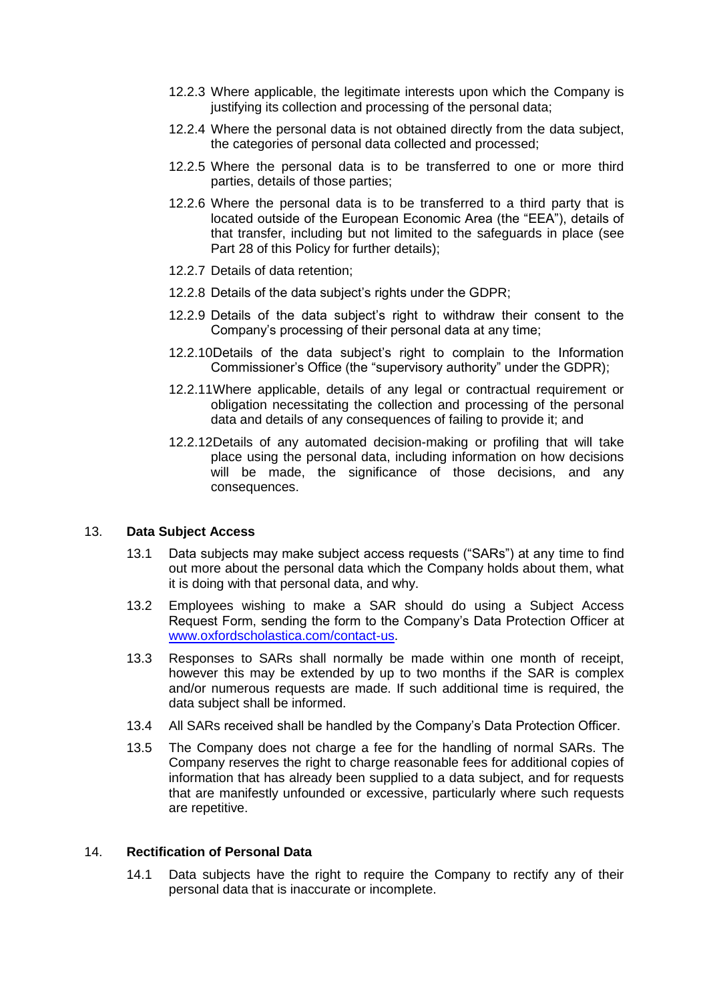- 12.2.3 Where applicable, the legitimate interests upon which the Company is justifying its collection and processing of the personal data;
- 12.2.4 Where the personal data is not obtained directly from the data subject, the categories of personal data collected and processed;
- 12.2.5 Where the personal data is to be transferred to one or more third parties, details of those parties;
- 12.2.6 Where the personal data is to be transferred to a third party that is located outside of the European Economic Area (the "EEA"), details of that transfer, including but not limited to the safeguards in place (see Part 28 of this Policy for further details);
- 12.2.7 Details of data retention;
- 12.2.8 Details of the data subject's rights under the GDPR;
- 12.2.9 Details of the data subject's right to withdraw their consent to the Company's processing of their personal data at any time;
- 12.2.10Details of the data subject's right to complain to the Information Commissioner's Office (the "supervisory authority" under the GDPR);
- 12.2.11Where applicable, details of any legal or contractual requirement or obligation necessitating the collection and processing of the personal data and details of any consequences of failing to provide it; and
- 12.2.12Details of any automated decision-making or profiling that will take place using the personal data, including information on how decisions will be made, the significance of those decisions, and any consequences.

# 13. **Data Subject Access**

- 13.1 Data subjects may make subject access requests ("SARs") at any time to find out more about the personal data which the Company holds about them, what it is doing with that personal data, and why.
- 13.2 Employees wishing to make a SAR should do using a Subject Access Request Form, sending the form to the Company's Data Protection Officer at [www.oxfordscholastica.com/contact-us.](www.oxfordscholastica.com/contact-us)
- 13.3 Responses to SARs shall normally be made within one month of receipt, however this may be extended by up to two months if the SAR is complex and/or numerous requests are made. If such additional time is required, the data subject shall be informed.
- 13.4 All SARs received shall be handled by the Company's Data Protection Officer.
- 13.5 The Company does not charge a fee for the handling of normal SARs. The Company reserves the right to charge reasonable fees for additional copies of information that has already been supplied to a data subject, and for requests that are manifestly unfounded or excessive, particularly where such requests are repetitive.

# 14. **Rectification of Personal Data**

14.1 Data subjects have the right to require the Company to rectify any of their personal data that is inaccurate or incomplete.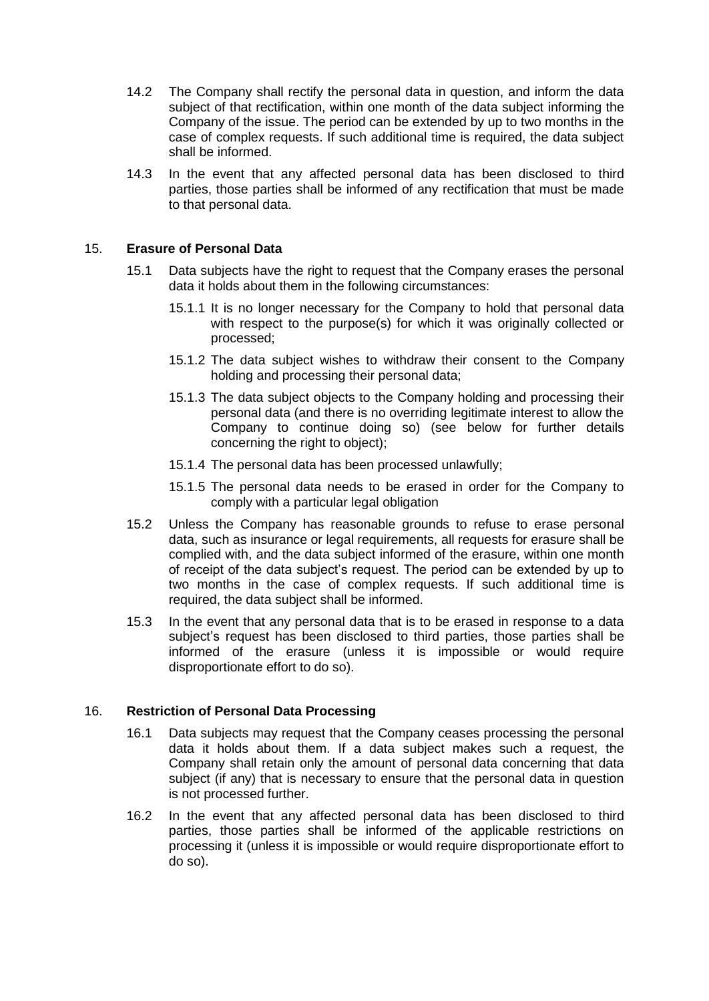- 14.2 The Company shall rectify the personal data in question, and inform the data subject of that rectification, within one month of the data subject informing the Company of the issue. The period can be extended by up to two months in the case of complex requests. If such additional time is required, the data subject shall be informed.
- 14.3 In the event that any affected personal data has been disclosed to third parties, those parties shall be informed of any rectification that must be made to that personal data.

## 15. **Erasure of Personal Data**

- 15.1 Data subjects have the right to request that the Company erases the personal data it holds about them in the following circumstances:
	- 15.1.1 It is no longer necessary for the Company to hold that personal data with respect to the purpose(s) for which it was originally collected or processed;
	- 15.1.2 The data subject wishes to withdraw their consent to the Company holding and processing their personal data;
	- 15.1.3 The data subject objects to the Company holding and processing their personal data (and there is no overriding legitimate interest to allow the Company to continue doing so) (see below for further details concerning the right to object);
	- 15.1.4 The personal data has been processed unlawfully;
	- 15.1.5 The personal data needs to be erased in order for the Company to comply with a particular legal obligation
- 15.2 Unless the Company has reasonable grounds to refuse to erase personal data, such as insurance or legal requirements, all requests for erasure shall be complied with, and the data subject informed of the erasure, within one month of receipt of the data subject's request. The period can be extended by up to two months in the case of complex requests. If such additional time is required, the data subject shall be informed.
- 15.3 In the event that any personal data that is to be erased in response to a data subject's request has been disclosed to third parties, those parties shall be informed of the erasure (unless it is impossible or would require disproportionate effort to do so).

#### 16. **Restriction of Personal Data Processing**

- 16.1 Data subjects may request that the Company ceases processing the personal data it holds about them. If a data subject makes such a request, the Company shall retain only the amount of personal data concerning that data subject (if any) that is necessary to ensure that the personal data in question is not processed further.
- 16.2 In the event that any affected personal data has been disclosed to third parties, those parties shall be informed of the applicable restrictions on processing it (unless it is impossible or would require disproportionate effort to do so).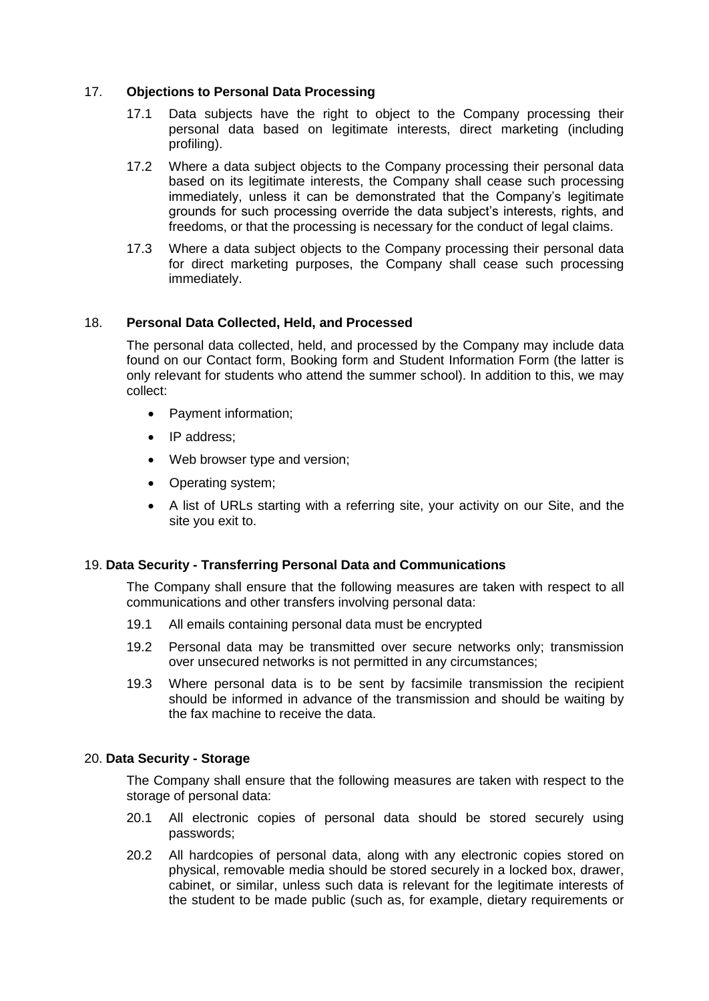# 17. **Objections to Personal Data Processing**

- 17.1 Data subjects have the right to object to the Company processing their personal data based on legitimate interests, direct marketing (including profiling).
- 17.2 Where a data subject objects to the Company processing their personal data based on its legitimate interests, the Company shall cease such processing immediately, unless it can be demonstrated that the Company's legitimate grounds for such processing override the data subject's interests, rights, and freedoms, or that the processing is necessary for the conduct of legal claims.
- 17.3 Where a data subject objects to the Company processing their personal data for direct marketing purposes, the Company shall cease such processing immediately.

# 18. **Personal Data Collected, Held, and Processed**

The personal data collected, held, and processed by the Company may include data found on our Contact form, Booking form and Student Information Form (the latter is only relevant for students who attend the summer school). In addition to this, we may collect:

- Payment information;
- IP address:
- Web browser type and version;
- Operating system;
- A list of URLs starting with a referring site, your activity on our Site, and the site you exit to.

# 19. **Data Security - Transferring Personal Data and Communications**

The Company shall ensure that the following measures are taken with respect to all communications and other transfers involving personal data:

- 19.1 All emails containing personal data must be encrypted
- 19.2 Personal data may be transmitted over secure networks only; transmission over unsecured networks is not permitted in any circumstances;
- 19.3 Where personal data is to be sent by facsimile transmission the recipient should be informed in advance of the transmission and should be waiting by the fax machine to receive the data.

# 20. **Data Security - Storage**

The Company shall ensure that the following measures are taken with respect to the storage of personal data:

- 20.1 All electronic copies of personal data should be stored securely using passwords;
- 20.2 All hardcopies of personal data, along with any electronic copies stored on physical, removable media should be stored securely in a locked box, drawer, cabinet, or similar, unless such data is relevant for the legitimate interests of the student to be made public (such as, for example, dietary requirements or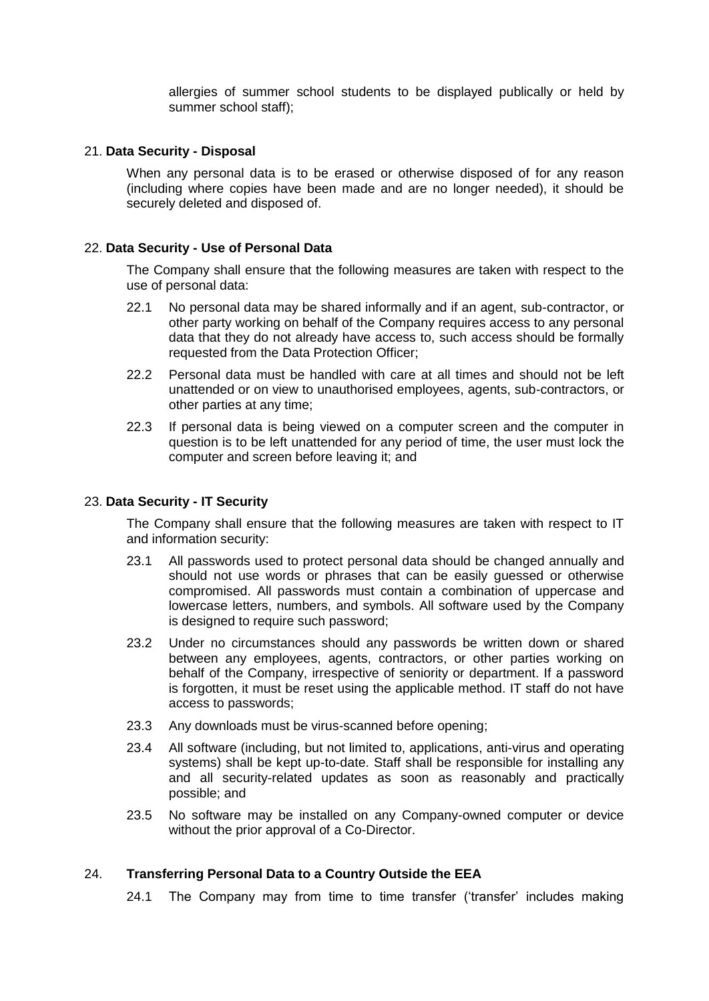allergies of summer school students to be displayed publically or held by summer school staff);

## 21. **Data Security - Disposal**

When any personal data is to be erased or otherwise disposed of for any reason (including where copies have been made and are no longer needed), it should be securely deleted and disposed of.

### 22. **Data Security - Use of Personal Data**

The Company shall ensure that the following measures are taken with respect to the use of personal data:

- 22.1 No personal data may be shared informally and if an agent, sub-contractor, or other party working on behalf of the Company requires access to any personal data that they do not already have access to, such access should be formally requested from the Data Protection Officer;
- 22.2 Personal data must be handled with care at all times and should not be left unattended or on view to unauthorised employees, agents, sub-contractors, or other parties at any time;
- 22.3 If personal data is being viewed on a computer screen and the computer in question is to be left unattended for any period of time, the user must lock the computer and screen before leaving it; and

### 23. **Data Security - IT Security**

The Company shall ensure that the following measures are taken with respect to IT and information security:

- 23.1 All passwords used to protect personal data should be changed annually and should not use words or phrases that can be easily guessed or otherwise compromised. All passwords must contain a combination of uppercase and lowercase letters, numbers, and symbols. All software used by the Company is designed to require such password;
- 23.2 Under no circumstances should any passwords be written down or shared between any employees, agents, contractors, or other parties working on behalf of the Company, irrespective of seniority or department. If a password is forgotten, it must be reset using the applicable method. IT staff do not have access to passwords;
- 23.3 Any downloads must be virus-scanned before opening;
- 23.4 All software (including, but not limited to, applications, anti-virus and operating systems) shall be kept up-to-date. Staff shall be responsible for installing any and all security-related updates as soon as reasonably and practically possible; and
- 23.5 No software may be installed on any Company-owned computer or device without the prior approval of a Co-Director.

### 24. **Transferring Personal Data to a Country Outside the EEA**

24.1 The Company may from time to time transfer ('transfer' includes making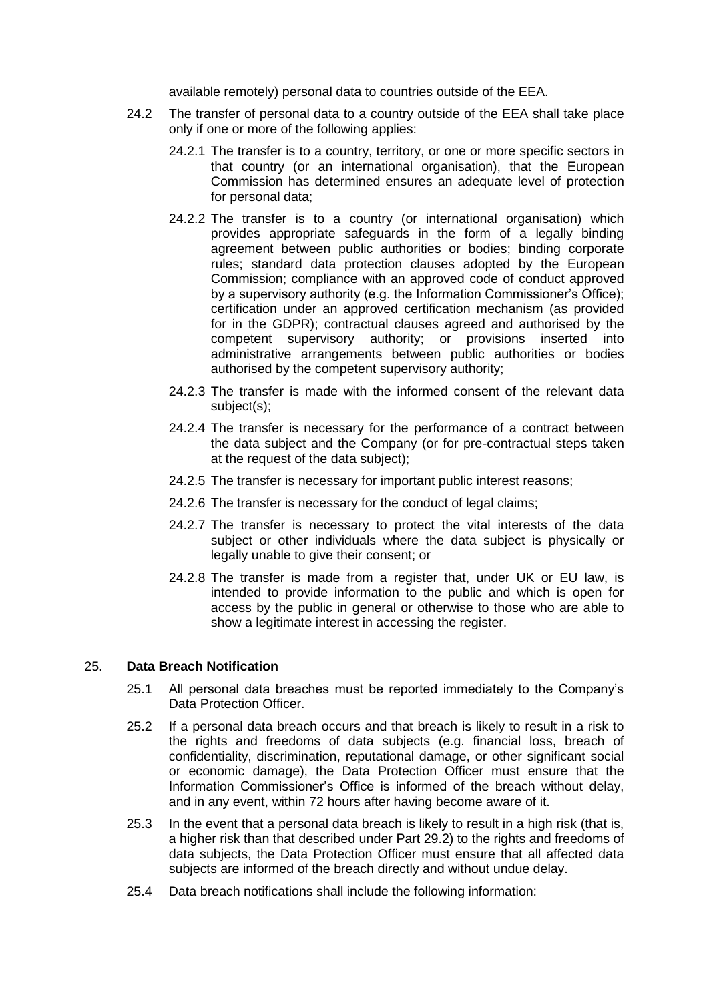available remotely) personal data to countries outside of the EEA.

- 24.2 The transfer of personal data to a country outside of the EEA shall take place only if one or more of the following applies:
	- 24.2.1 The transfer is to a country, territory, or one or more specific sectors in that country (or an international organisation), that the European Commission has determined ensures an adequate level of protection for personal data;
	- 24.2.2 The transfer is to a country (or international organisation) which provides appropriate safeguards in the form of a legally binding agreement between public authorities or bodies; binding corporate rules; standard data protection clauses adopted by the European Commission; compliance with an approved code of conduct approved by a supervisory authority (e.g. the Information Commissioner's Office); certification under an approved certification mechanism (as provided for in the GDPR); contractual clauses agreed and authorised by the competent supervisory authority; or provisions inserted into administrative arrangements between public authorities or bodies authorised by the competent supervisory authority;
	- 24.2.3 The transfer is made with the informed consent of the relevant data subject(s);
	- 24.2.4 The transfer is necessary for the performance of a contract between the data subject and the Company (or for pre-contractual steps taken at the request of the data subject);
	- 24.2.5 The transfer is necessary for important public interest reasons;
	- 24.2.6 The transfer is necessary for the conduct of legal claims;
	- 24.2.7 The transfer is necessary to protect the vital interests of the data subject or other individuals where the data subject is physically or legally unable to give their consent; or
	- 24.2.8 The transfer is made from a register that, under UK or EU law, is intended to provide information to the public and which is open for access by the public in general or otherwise to those who are able to show a legitimate interest in accessing the register.

#### 25. **Data Breach Notification**

- 25.1 All personal data breaches must be reported immediately to the Company's Data Protection Officer.
- 25.2 If a personal data breach occurs and that breach is likely to result in a risk to the rights and freedoms of data subjects (e.g. financial loss, breach of confidentiality, discrimination, reputational damage, or other significant social or economic damage), the Data Protection Officer must ensure that the Information Commissioner's Office is informed of the breach without delay, and in any event, within 72 hours after having become aware of it.
- 25.3 In the event that a personal data breach is likely to result in a high risk (that is, a higher risk than that described under Part 29.2) to the rights and freedoms of data subjects, the Data Protection Officer must ensure that all affected data subjects are informed of the breach directly and without undue delay.
- 25.4 Data breach notifications shall include the following information: